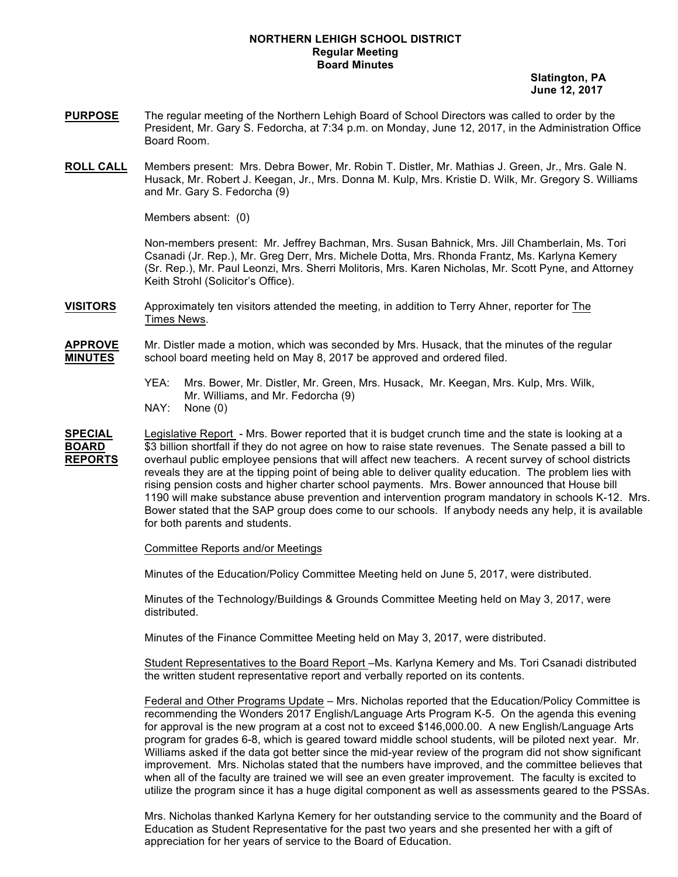### **NORTHERN LEHIGH SCHOOL DISTRICT Regular Meeting Board Minutes**

 **Slatington, PA June 12, 2017**

- **PURPOSE** The regular meeting of the Northern Lehigh Board of School Directors was called to order by the President, Mr. Gary S. Fedorcha, at 7:34 p.m. on Monday, June 12, 2017, in the Administration Office Board Room.
- **ROLL CALL** Members present: Mrs. Debra Bower, Mr. Robin T. Distler, Mr. Mathias J. Green, Jr., Mrs. Gale N. Husack, Mr. Robert J. Keegan, Jr., Mrs. Donna M. Kulp, Mrs. Kristie D. Wilk, Mr. Gregory S. Williams and Mr. Gary S. Fedorcha (9)

Members absent: (0)

Non-members present: Mr. Jeffrey Bachman, Mrs. Susan Bahnick, Mrs. Jill Chamberlain, Ms. Tori Csanadi (Jr. Rep.), Mr. Greg Derr, Mrs. Michele Dotta, Mrs. Rhonda Frantz, Ms. Karlyna Kemery (Sr. Rep.), Mr. Paul Leonzi, Mrs. Sherri Molitoris, Mrs. Karen Nicholas, Mr. Scott Pyne, and Attorney Keith Strohl (Solicitor's Office).

**VISITORS** Approximately ten visitors attended the meeting, in addition to Terry Ahner, reporter for The Times News.

**APPROVE** Mr. Distler made a motion, which was seconded by Mrs. Husack, that the minutes of the regular **MINUTES** school board meeting held on May 8, 2017 be approved and ordered filed.

- YEA: Mrs. Bower, Mr. Distler, Mr. Green, Mrs. Husack, Mr. Keegan, Mrs. Kulp, Mrs. Wilk, Mr. Williams, and Mr. Fedorcha (9)
- NAY: None (0)

**SPECIAL** Legislative Report - Mrs. Bower reported that it is budget crunch time and the state is looking at a **BOARD** \$3 billion shortfall if they do not agree on how to raise state revenues. The Senate passed a bill to **REPORTS** overhaul public employee pensions that will affect new teachers. A recent survey of school districts reveals they are at the tipping point of being able to deliver quality education. The problem lies with rising pension costs and higher charter school payments. Mrs. Bower announced that House bill 1190 will make substance abuse prevention and intervention program mandatory in schools K-12. Mrs. Bower stated that the SAP group does come to our schools. If anybody needs any help, it is available for both parents and students.

Committee Reports and/or Meetings

Minutes of the Education/Policy Committee Meeting held on June 5, 2017, were distributed.

Minutes of the Technology/Buildings & Grounds Committee Meeting held on May 3, 2017, were distributed.

Minutes of the Finance Committee Meeting held on May 3, 2017, were distributed.

Student Representatives to the Board Report –Ms. Karlyna Kemery and Ms. Tori Csanadi distributed the written student representative report and verbally reported on its contents.

Federal and Other Programs Update – Mrs. Nicholas reported that the Education/Policy Committee is recommending the Wonders 2017 English/Language Arts Program K-5. On the agenda this evening for approval is the new program at a cost not to exceed \$146,000.00. A new English/Language Arts program for grades 6-8, which is geared toward middle school students, will be piloted next year. Mr. Williams asked if the data got better since the mid-year review of the program did not show significant improvement. Mrs. Nicholas stated that the numbers have improved, and the committee believes that when all of the faculty are trained we will see an even greater improvement. The faculty is excited to utilize the program since it has a huge digital component as well as assessments geared to the PSSAs.

Mrs. Nicholas thanked Karlyna Kemery for her outstanding service to the community and the Board of Education as Student Representative for the past two years and she presented her with a gift of appreciation for her years of service to the Board of Education.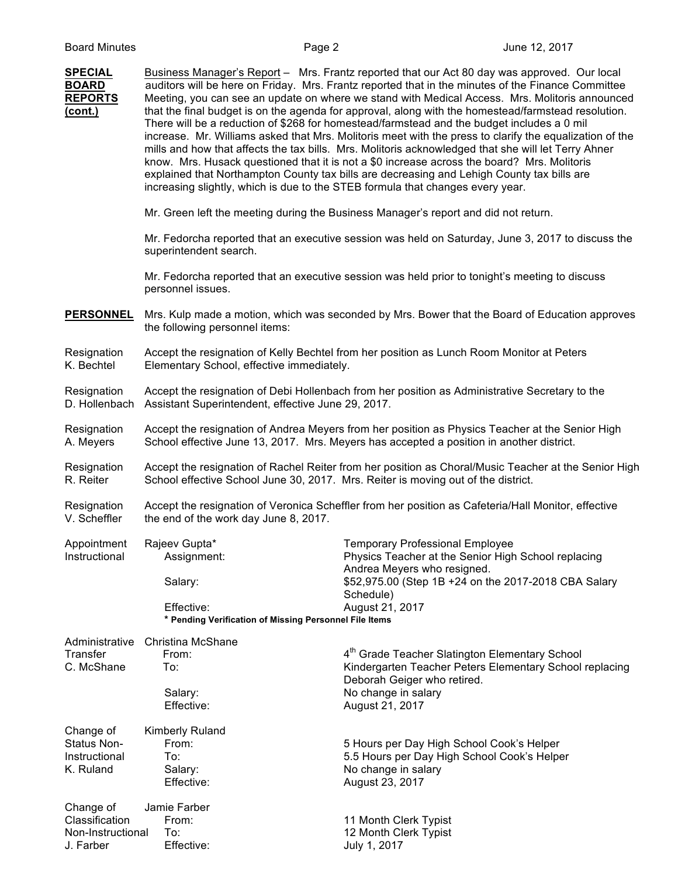| <b>SPECIAL</b><br><b>BOARD</b><br><b>REPORTS</b><br>(cont.)   | increasing slightly, which is due to the STEB formula that changes every year.                                                                                                              | Business Manager's Report - Mrs. Frantz reported that our Act 80 day was approved. Our local<br>auditors will be here on Friday. Mrs. Frantz reported that in the minutes of the Finance Committee<br>Meeting, you can see an update on where we stand with Medical Access. Mrs. Molitoris announced<br>that the final budget is on the agenda for approval, along with the homestead/farmstead resolution.<br>There will be a reduction of \$268 for homestead/farmstead and the budget includes a 0 mil<br>increase. Mr. Williams asked that Mrs. Molitoris meet with the press to clarify the equalization of the<br>mills and how that affects the tax bills. Mrs. Molitoris acknowledged that she will let Terry Ahner<br>know. Mrs. Husack questioned that it is not a \$0 increase across the board? Mrs. Molitoris<br>explained that Northampton County tax bills are decreasing and Lehigh County tax bills are |
|---------------------------------------------------------------|---------------------------------------------------------------------------------------------------------------------------------------------------------------------------------------------|--------------------------------------------------------------------------------------------------------------------------------------------------------------------------------------------------------------------------------------------------------------------------------------------------------------------------------------------------------------------------------------------------------------------------------------------------------------------------------------------------------------------------------------------------------------------------------------------------------------------------------------------------------------------------------------------------------------------------------------------------------------------------------------------------------------------------------------------------------------------------------------------------------------------------|
|                                                               |                                                                                                                                                                                             | Mr. Green left the meeting during the Business Manager's report and did not return.                                                                                                                                                                                                                                                                                                                                                                                                                                                                                                                                                                                                                                                                                                                                                                                                                                      |
|                                                               | superintendent search.                                                                                                                                                                      | Mr. Fedorcha reported that an executive session was held on Saturday, June 3, 2017 to discuss the                                                                                                                                                                                                                                                                                                                                                                                                                                                                                                                                                                                                                                                                                                                                                                                                                        |
|                                                               | personnel issues.                                                                                                                                                                           | Mr. Fedorcha reported that an executive session was held prior to tonight's meeting to discuss                                                                                                                                                                                                                                                                                                                                                                                                                                                                                                                                                                                                                                                                                                                                                                                                                           |
| <b>PERSONNEL</b>                                              | the following personnel items:                                                                                                                                                              | Mrs. Kulp made a motion, which was seconded by Mrs. Bower that the Board of Education approves                                                                                                                                                                                                                                                                                                                                                                                                                                                                                                                                                                                                                                                                                                                                                                                                                           |
| Resignation<br>K. Bechtel                                     | Elementary School, effective immediately.                                                                                                                                                   | Accept the resignation of Kelly Bechtel from her position as Lunch Room Monitor at Peters                                                                                                                                                                                                                                                                                                                                                                                                                                                                                                                                                                                                                                                                                                                                                                                                                                |
| Resignation<br>D. Hollenbach                                  | Assistant Superintendent, effective June 29, 2017.                                                                                                                                          | Accept the resignation of Debi Hollenbach from her position as Administrative Secretary to the                                                                                                                                                                                                                                                                                                                                                                                                                                                                                                                                                                                                                                                                                                                                                                                                                           |
| Resignation<br>A. Meyers                                      | Accept the resignation of Andrea Meyers from her position as Physics Teacher at the Senior High<br>School effective June 13, 2017. Mrs. Meyers has accepted a position in another district. |                                                                                                                                                                                                                                                                                                                                                                                                                                                                                                                                                                                                                                                                                                                                                                                                                                                                                                                          |
| Resignation<br>R. Reiter                                      | School effective School June 30, 2017. Mrs. Reiter is moving out of the district.                                                                                                           | Accept the resignation of Rachel Reiter from her position as Choral/Music Teacher at the Senior High                                                                                                                                                                                                                                                                                                                                                                                                                                                                                                                                                                                                                                                                                                                                                                                                                     |
| Resignation<br>V. Scheffler                                   | the end of the work day June 8, 2017.                                                                                                                                                       | Accept the resignation of Veronica Scheffler from her position as Cafeteria/Hall Monitor, effective                                                                                                                                                                                                                                                                                                                                                                                                                                                                                                                                                                                                                                                                                                                                                                                                                      |
| Appointment<br>Instructional                                  | Rajeev Gupta*<br>Assignment:<br>Salary:                                                                                                                                                     | <b>Temporary Professional Employee</b><br>Physics Teacher at the Senior High School replacing<br>Andrea Meyers who resigned.<br>\$52,975.00 (Step 1B +24 on the 2017-2018 CBA Salary<br>Schedule)                                                                                                                                                                                                                                                                                                                                                                                                                                                                                                                                                                                                                                                                                                                        |
|                                                               | Effective:<br>* Pending Verification of Missing Personnel File Items                                                                                                                        | August 21, 2017                                                                                                                                                                                                                                                                                                                                                                                                                                                                                                                                                                                                                                                                                                                                                                                                                                                                                                          |
| Administrative<br>Transfer<br>C. McShane                      | <b>Christina McShane</b><br>From:<br>To:<br>Salary:<br>Effective:                                                                                                                           | 4 <sup>th</sup> Grade Teacher Slatington Elementary School<br>Kindergarten Teacher Peters Elementary School replacing<br>Deborah Geiger who retired.<br>No change in salary<br>August 21, 2017                                                                                                                                                                                                                                                                                                                                                                                                                                                                                                                                                                                                                                                                                                                           |
| Change of<br>Status Non-<br>Instructional<br>K. Ruland        | <b>Kimberly Ruland</b><br>From:<br>To:<br>Salary:<br>Effective:                                                                                                                             | 5 Hours per Day High School Cook's Helper<br>5.5 Hours per Day High School Cook's Helper<br>No change in salary<br>August 23, 2017                                                                                                                                                                                                                                                                                                                                                                                                                                                                                                                                                                                                                                                                                                                                                                                       |
| Change of<br>Classification<br>Non-Instructional<br>J. Farber | Jamie Farber<br>From:<br>To:<br>Effective:                                                                                                                                                  | 11 Month Clerk Typist<br>12 Month Clerk Typist<br>July 1, 2017                                                                                                                                                                                                                                                                                                                                                                                                                                                                                                                                                                                                                                                                                                                                                                                                                                                           |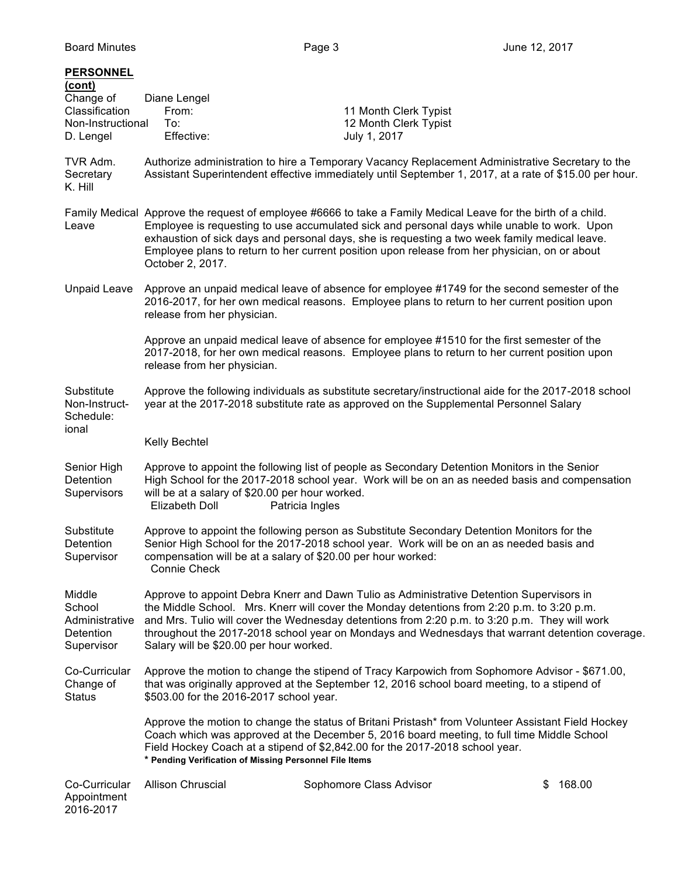| <b>PERSONNEL</b><br>(cont)<br>Change of<br>Classification<br>Non-Instructional<br>D. Lengel | Diane Lengel<br>From:<br>To:<br>Effective:                                                                                                                                                                                                                                                                                                                                                                                            | 11 Month Clerk Typist<br>12 Month Clerk Typist<br>July 1, 2017                                                                                                                                                                                                                   |              |
|---------------------------------------------------------------------------------------------|---------------------------------------------------------------------------------------------------------------------------------------------------------------------------------------------------------------------------------------------------------------------------------------------------------------------------------------------------------------------------------------------------------------------------------------|----------------------------------------------------------------------------------------------------------------------------------------------------------------------------------------------------------------------------------------------------------------------------------|--------------|
| TVR Adm.<br>Secretary<br>K. Hill                                                            | Authorize administration to hire a Temporary Vacancy Replacement Administrative Secretary to the<br>Assistant Superintendent effective immediately until September 1, 2017, at a rate of \$15.00 per hour.                                                                                                                                                                                                                            |                                                                                                                                                                                                                                                                                  |              |
| Leave                                                                                       | Family Medical Approve the request of employee #6666 to take a Family Medical Leave for the birth of a child.<br>Employee is requesting to use accumulated sick and personal days while unable to work. Upon<br>exhaustion of sick days and personal days, she is requesting a two week family medical leave.<br>Employee plans to return to her current position upon release from her physician, on or about<br>October 2, 2017.    |                                                                                                                                                                                                                                                                                  |              |
| Unpaid Leave                                                                                | release from her physician.                                                                                                                                                                                                                                                                                                                                                                                                           | Approve an unpaid medical leave of absence for employee #1749 for the second semester of the<br>2016-2017, for her own medical reasons. Employee plans to return to her current position upon                                                                                    |              |
|                                                                                             | release from her physician.                                                                                                                                                                                                                                                                                                                                                                                                           | Approve an unpaid medical leave of absence for employee #1510 for the first semester of the<br>2017-2018, for her own medical reasons. Employee plans to return to her current position upon                                                                                     |              |
| Substitute<br>Non-Instruct-<br>Schedule:                                                    |                                                                                                                                                                                                                                                                                                                                                                                                                                       | Approve the following individuals as substitute secretary/instructional aide for the 2017-2018 school<br>year at the 2017-2018 substitute rate as approved on the Supplemental Personnel Salary                                                                                  |              |
| ional                                                                                       | Kelly Bechtel                                                                                                                                                                                                                                                                                                                                                                                                                         |                                                                                                                                                                                                                                                                                  |              |
| Senior High<br>Detention<br>Supervisors                                                     | Approve to appoint the following list of people as Secondary Detention Monitors in the Senior<br>High School for the 2017-2018 school year. Work will be on an as needed basis and compensation<br>will be at a salary of \$20.00 per hour worked.<br><b>Elizabeth Doll</b><br>Patricia Ingles                                                                                                                                        |                                                                                                                                                                                                                                                                                  |              |
| Substitute<br>Detention<br>Supervisor                                                       | compensation will be at a salary of \$20.00 per hour worked:<br>Connie Check                                                                                                                                                                                                                                                                                                                                                          | Approve to appoint the following person as Substitute Secondary Detention Monitors for the<br>Senior High School for the 2017-2018 school year. Work will be on an as needed basis and                                                                                           |              |
| Middle<br>School<br>Administrative<br>Detention<br>Supervisor                               | Approve to appoint Debra Knerr and Dawn Tulio as Administrative Detention Supervisors in<br>the Middle School. Mrs. Knerr will cover the Monday detentions from 2:20 p.m. to 3:20 p.m.<br>and Mrs. Tulio will cover the Wednesday detentions from 2:20 p.m. to 3:20 p.m. They will work<br>throughout the 2017-2018 school year on Mondays and Wednesdays that warrant detention coverage.<br>Salary will be \$20.00 per hour worked. |                                                                                                                                                                                                                                                                                  |              |
| Co-Curricular<br>Change of<br><b>Status</b>                                                 | Approve the motion to change the stipend of Tracy Karpowich from Sophomore Advisor - \$671.00,<br>that was originally approved at the September 12, 2016 school board meeting, to a stipend of<br>\$503.00 for the 2016-2017 school year.                                                                                                                                                                                             |                                                                                                                                                                                                                                                                                  |              |
|                                                                                             | * Pending Verification of Missing Personnel File Items                                                                                                                                                                                                                                                                                                                                                                                | Approve the motion to change the status of Britani Pristash* from Volunteer Assistant Field Hockey<br>Coach which was approved at the December 5, 2016 board meeting, to full time Middle School<br>Field Hockey Coach at a stipend of \$2,842.00 for the 2017-2018 school year. |              |
| Co-Curricular<br>Appointment<br>2016-2017                                                   | <b>Allison Chruscial</b>                                                                                                                                                                                                                                                                                                                                                                                                              | Sophomore Class Advisor                                                                                                                                                                                                                                                          | 168.00<br>\$ |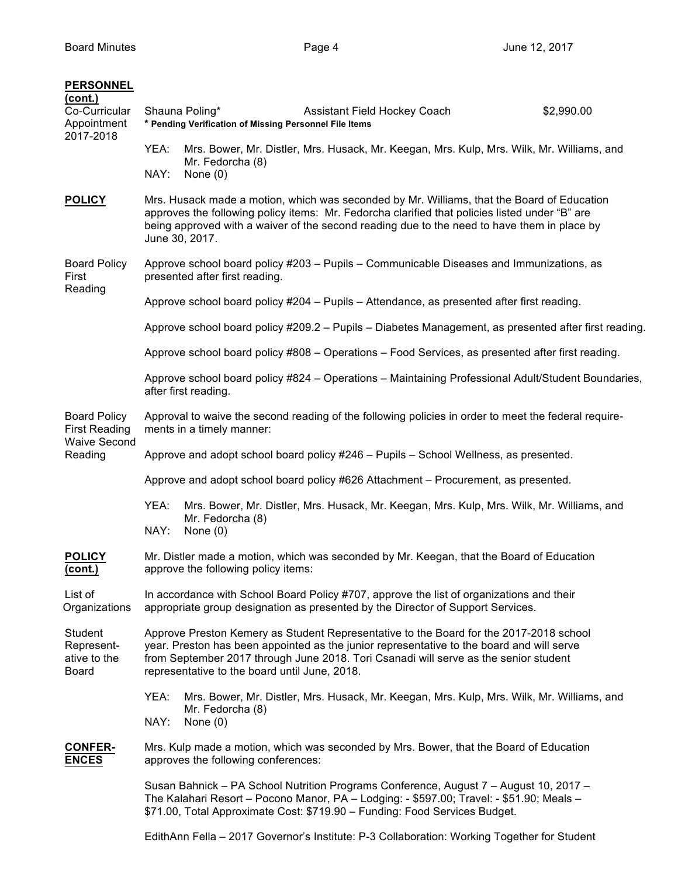| <b>PERSONNEL</b><br>(cont.)<br>Co-Curricular<br>Appointment<br>2017-2018 | YEA:<br>NAY:                                                                                                                                                                                                                                                                                                  | Shauna Poling*<br>Assistant Field Hockey Coach<br>* Pending Verification of Missing Personnel File Items<br>Mrs. Bower, Mr. Distler, Mrs. Husack, Mr. Keegan, Mrs. Kulp, Mrs. Wilk, Mr. Williams, and<br>Mr. Fedorcha (8)<br>None $(0)$                                                                                      | \$2,990.00 |
|--------------------------------------------------------------------------|---------------------------------------------------------------------------------------------------------------------------------------------------------------------------------------------------------------------------------------------------------------------------------------------------------------|------------------------------------------------------------------------------------------------------------------------------------------------------------------------------------------------------------------------------------------------------------------------------------------------------------------------------|------------|
| <b>POLICY</b>                                                            | Mrs. Husack made a motion, which was seconded by Mr. Williams, that the Board of Education<br>approves the following policy items: Mr. Fedorcha clarified that policies listed under "B" are<br>being approved with a waiver of the second reading due to the need to have them in place by<br>June 30, 2017. |                                                                                                                                                                                                                                                                                                                              |            |
| <b>Board Policy</b><br>First<br>Reading                                  |                                                                                                                                                                                                                                                                                                               | Approve school board policy #203 - Pupils - Communicable Diseases and Immunizations, as<br>presented after first reading.                                                                                                                                                                                                    |            |
|                                                                          |                                                                                                                                                                                                                                                                                                               | Approve school board policy #204 - Pupils - Attendance, as presented after first reading.                                                                                                                                                                                                                                    |            |
|                                                                          |                                                                                                                                                                                                                                                                                                               | Approve school board policy #209.2 - Pupils - Diabetes Management, as presented after first reading.                                                                                                                                                                                                                         |            |
|                                                                          |                                                                                                                                                                                                                                                                                                               | Approve school board policy #808 - Operations - Food Services, as presented after first reading.                                                                                                                                                                                                                             |            |
|                                                                          |                                                                                                                                                                                                                                                                                                               | Approve school board policy #824 - Operations - Maintaining Professional Adult/Student Boundaries,<br>after first reading.                                                                                                                                                                                                   |            |
| <b>Board Policy</b><br><b>First Reading</b><br><b>Waive Second</b>       |                                                                                                                                                                                                                                                                                                               | Approval to waive the second reading of the following policies in order to meet the federal require-<br>ments in a timely manner:                                                                                                                                                                                            |            |
| Reading                                                                  |                                                                                                                                                                                                                                                                                                               | Approve and adopt school board policy #246 - Pupils - School Wellness, as presented.                                                                                                                                                                                                                                         |            |
|                                                                          |                                                                                                                                                                                                                                                                                                               | Approve and adopt school board policy #626 Attachment - Procurement, as presented.                                                                                                                                                                                                                                           |            |
|                                                                          | YEA:<br>NAY:                                                                                                                                                                                                                                                                                                  | Mrs. Bower, Mr. Distler, Mrs. Husack, Mr. Keegan, Mrs. Kulp, Mrs. Wilk, Mr. Williams, and<br>Mr. Fedorcha (8)<br>None $(0)$                                                                                                                                                                                                  |            |
| <b>POLICY</b><br><u>(cont.)</u>                                          |                                                                                                                                                                                                                                                                                                               | Mr. Distler made a motion, which was seconded by Mr. Keegan, that the Board of Education<br>approve the following policy items:                                                                                                                                                                                              |            |
| List of<br>Organizations                                                 |                                                                                                                                                                                                                                                                                                               | In accordance with School Board Policy #707, approve the list of organizations and their<br>appropriate group designation as presented by the Director of Support Services.                                                                                                                                                  |            |
| Student<br>Represent-<br>ative to the<br>Board                           |                                                                                                                                                                                                                                                                                                               | Approve Preston Kemery as Student Representative to the Board for the 2017-2018 school<br>year. Preston has been appointed as the junior representative to the board and will serve<br>from September 2017 through June 2018. Tori Csanadi will serve as the senior student<br>representative to the board until June, 2018. |            |
|                                                                          | YEA:<br>NAY:                                                                                                                                                                                                                                                                                                  | Mrs. Bower, Mr. Distler, Mrs. Husack, Mr. Keegan, Mrs. Kulp, Mrs. Wilk, Mr. Williams, and<br>Mr. Fedorcha (8)<br>None $(0)$                                                                                                                                                                                                  |            |
| <b>CONFER-</b><br><b>ENCES</b>                                           |                                                                                                                                                                                                                                                                                                               | Mrs. Kulp made a motion, which was seconded by Mrs. Bower, that the Board of Education<br>approves the following conferences:                                                                                                                                                                                                |            |
|                                                                          |                                                                                                                                                                                                                                                                                                               | Susan Bahnick – PA School Nutrition Programs Conference, August 7 – August 10, 2017 –<br>The Kalahari Resort - Pocono Manor, PA - Lodging: - \$597.00; Travel: - \$51.90; Meals -<br>\$71.00, Total Approximate Cost: \$719.90 - Funding: Food Services Budget.                                                              |            |

EdithAnn Fella – 2017 Governor's Institute: P-3 Collaboration: Working Together for Student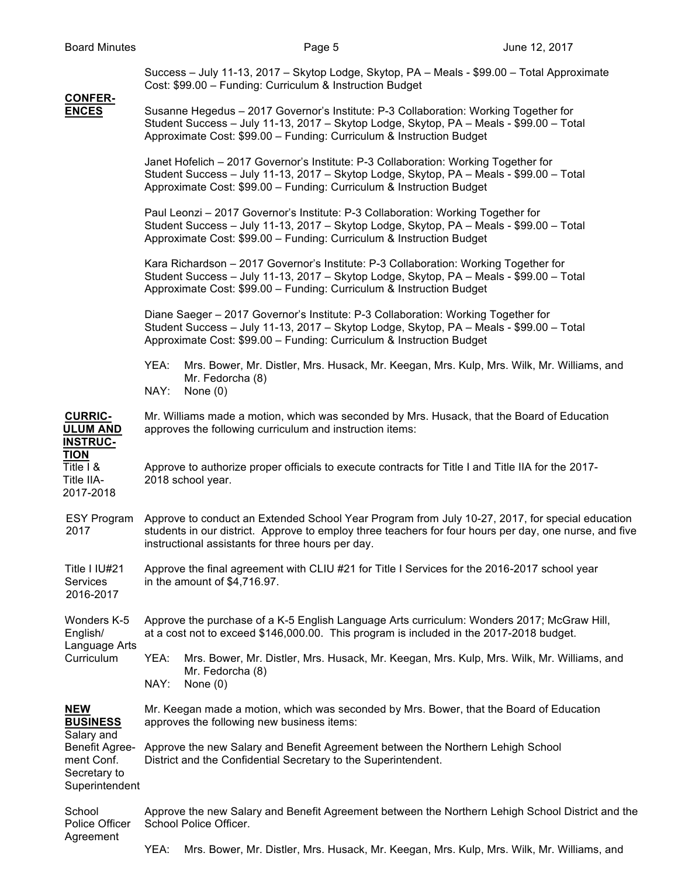**CONFER-**

Success – July 11-13, 2017 – Skytop Lodge, Skytop, PA – Meals - \$99.00 – Total Approximate Cost: \$99.00 – Funding: Curriculum & Instruction Budget

## **ENCES** Susanne Hegedus – 2017 Governor's Institute: P-3 Collaboration: Working Together for Student Success – July 11-13, 2017 – Skytop Lodge, Skytop, PA – Meals - \$99.00 – Total Approximate Cost: \$99.00 – Funding: Curriculum & Instruction Budget Janet Hofelich – 2017 Governor's Institute: P-3 Collaboration: Working Together for Student Success – July 11-13, 2017 – Skytop Lodge, Skytop, PA – Meals - \$99.00 – Total Approximate Cost: \$99.00 – Funding: Curriculum & Instruction Budget Paul Leonzi – 2017 Governor's Institute: P-3 Collaboration: Working Together for Student Success – July 11-13, 2017 – Skytop Lodge, Skytop, PA – Meals - \$99.00 – Total Approximate Cost: \$99.00 – Funding: Curriculum & Instruction Budget Kara Richardson – 2017 Governor's Institute: P-3 Collaboration: Working Together for Student Success – July 11-13, 2017 – Skytop Lodge, Skytop, PA – Meals - \$99.00 – Total Approximate Cost: \$99.00 – Funding: Curriculum & Instruction Budget Diane Saeger – 2017 Governor's Institute: P-3 Collaboration: Working Together for Student Success – July 11-13, 2017 – Skytop Lodge, Skytop, PA – Meals - \$99.00 – Total Approximate Cost: \$99.00 – Funding: Curriculum & Instruction Budget YEA: Mrs. Bower, Mr. Distler, Mrs. Husack, Mr. Keegan, Mrs. Kulp, Mrs. Wilk, Mr. Williams, and Mr. Fedorcha (8) NAY: None (0) **CURRIC-** Mr. Williams made a motion, which was seconded by Mrs. Husack, that the Board of Education **ULUM AND** approves the following curriculum and instruction items: **INSTRUC-TION** Title I & Approve to authorize proper officials to execute contracts for Title I and Title IIA for the 2017- Title IIA- 2018 school year. 2017-2018 ESY Program Approve to conduct an Extended School Year Program from July 10-27, 2017, for special education 2017 students in our district. Approve to employ three teachers for four hours per day, one nurse, and five instructional assistants for three hours per day. Title I IU#21 Approve the final agreement with CLIU #21 for Title I Services for the 2016-2017 school year Services in the amount of \$4,716.97. 2016-2017 Wonders K-5 Approve the purchase of a K-5 English Language Arts curriculum: Wonders 2017; McGraw Hill, English/ at a cost not to exceed \$146,000.00. This program is included in the 2017-2018 budget. Language Arts Curriculum YEA: Mrs. Bower, Mr. Distler, Mrs. Husack, Mr. Keegan, Mrs. Kulp, Mrs. Wilk, Mr. Williams, and Mr. Fedorcha (8) NAY: None (0) **NEW** Mr. Keegan made a motion, which was seconded by Mrs. Bower, that the Board of Education **BUSINESS** approves the following new business items: Salary and Benefit Agree- Approve the new Salary and Benefit Agreement between the Northern Lehigh School ment Conf. District and the Confidential Secretary to the Superintendent. Secretary to **Superintendent** School Approve the new Salary and Benefit Agreement between the Northern Lehigh School District and the Police Officer School Police Officer. **Agreement**

YEA: Mrs. Bower, Mr. Distler, Mrs. Husack, Mr. Keegan, Mrs. Kulp, Mrs. Wilk, Mr. Williams, and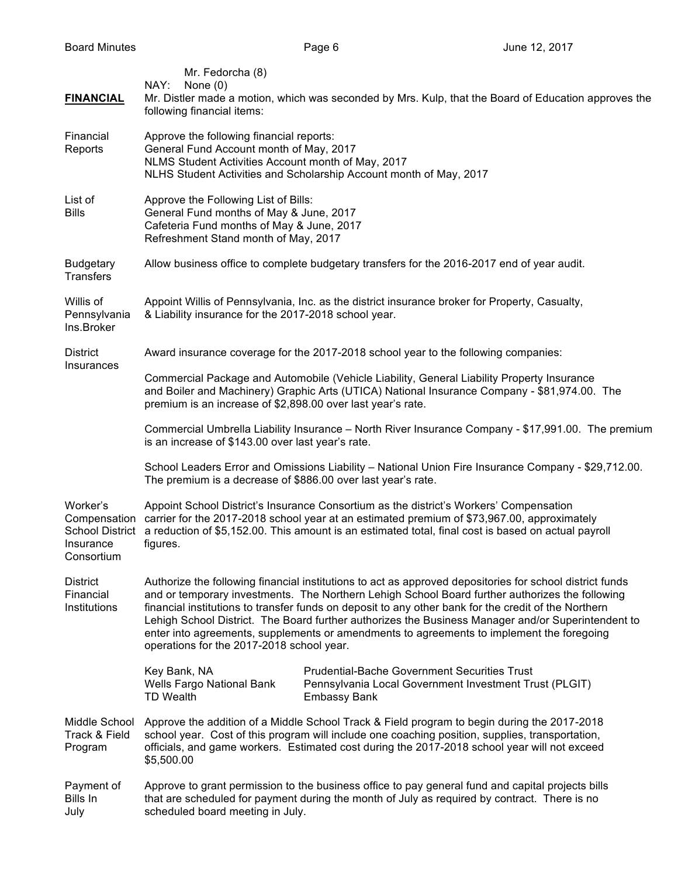| <b>FINANCIAL</b>                             | Mr. Fedorcha (8)<br>NAY:<br>None $(0)$<br>Mr. Distler made a motion, which was seconded by Mrs. Kulp, that the Board of Education approves the<br>following financial items:                                                                                                                                                                                                                                                                                                                                                                                        |  |  |
|----------------------------------------------|---------------------------------------------------------------------------------------------------------------------------------------------------------------------------------------------------------------------------------------------------------------------------------------------------------------------------------------------------------------------------------------------------------------------------------------------------------------------------------------------------------------------------------------------------------------------|--|--|
| Financial<br>Reports                         | Approve the following financial reports:<br>General Fund Account month of May, 2017<br>NLMS Student Activities Account month of May, 2017<br>NLHS Student Activities and Scholarship Account month of May, 2017                                                                                                                                                                                                                                                                                                                                                     |  |  |
| List of<br><b>Bills</b>                      | Approve the Following List of Bills:<br>General Fund months of May & June, 2017<br>Cafeteria Fund months of May & June, 2017<br>Refreshment Stand month of May, 2017                                                                                                                                                                                                                                                                                                                                                                                                |  |  |
| <b>Budgetary</b><br>Transfers                | Allow business office to complete budgetary transfers for the 2016-2017 end of year audit.                                                                                                                                                                                                                                                                                                                                                                                                                                                                          |  |  |
| Willis of<br>Pennsylvania<br>Ins.Broker      | Appoint Willis of Pennsylvania, Inc. as the district insurance broker for Property, Casualty,<br>& Liability insurance for the 2017-2018 school year.                                                                                                                                                                                                                                                                                                                                                                                                               |  |  |
| <b>District</b>                              | Award insurance coverage for the 2017-2018 school year to the following companies:                                                                                                                                                                                                                                                                                                                                                                                                                                                                                  |  |  |
| Insurances                                   | Commercial Package and Automobile (Vehicle Liability, General Liability Property Insurance<br>and Boiler and Machinery) Graphic Arts (UTICA) National Insurance Company - \$81,974.00. The<br>premium is an increase of \$2,898.00 over last year's rate.                                                                                                                                                                                                                                                                                                           |  |  |
|                                              | Commercial Umbrella Liability Insurance - North River Insurance Company - \$17,991.00. The premium<br>is an increase of \$143.00 over last year's rate.                                                                                                                                                                                                                                                                                                                                                                                                             |  |  |
|                                              | School Leaders Error and Omissions Liability - National Union Fire Insurance Company - \$29,712.00.<br>The premium is a decrease of \$886.00 over last year's rate.                                                                                                                                                                                                                                                                                                                                                                                                 |  |  |
| Worker's<br>Insurance<br>Consortium          | Appoint School District's Insurance Consortium as the district's Workers' Compensation<br>Compensation carrier for the 2017-2018 school year at an estimated premium of \$73,967.00, approximately<br>School District a reduction of \$5,152.00. This amount is an estimated total, final cost is based on actual payroll<br>figures.                                                                                                                                                                                                                               |  |  |
| <b>District</b><br>Financial<br>Institutions | Authorize the following financial institutions to act as approved depositories for school district funds<br>and or temporary investments. The Northern Lehigh School Board further authorizes the following<br>financial institutions to transfer funds on deposit to any other bank for the credit of the Northern<br>Lehigh School District. The Board further authorizes the Business Manager and/or Superintendent to<br>enter into agreements, supplements or amendments to agreements to implement the foregoing<br>operations for the 2017-2018 school year. |  |  |
|                                              | <b>Prudential-Bache Government Securities Trust</b><br>Key Bank, NA<br>Wells Fargo National Bank<br>Pennsylvania Local Government Investment Trust (PLGIT)<br><b>TD Wealth</b><br><b>Embassy Bank</b>                                                                                                                                                                                                                                                                                                                                                               |  |  |
| Middle School<br>Track & Field<br>Program    | Approve the addition of a Middle School Track & Field program to begin during the 2017-2018<br>school year. Cost of this program will include one coaching position, supplies, transportation,<br>officials, and game workers. Estimated cost during the 2017-2018 school year will not exceed<br>\$5,500.00                                                                                                                                                                                                                                                        |  |  |
| Payment of<br>Bills In<br>July               | Approve to grant permission to the business office to pay general fund and capital projects bills<br>that are scheduled for payment during the month of July as required by contract. There is no<br>scheduled board meeting in July.                                                                                                                                                                                                                                                                                                                               |  |  |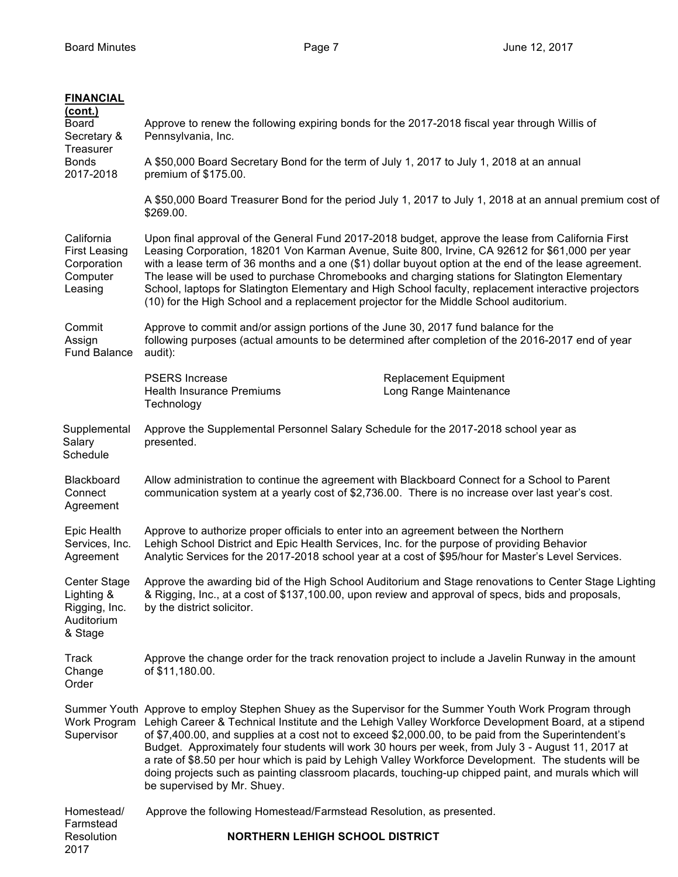| <b>FINANCIAL</b><br>(cont.)                                                 |                                                                                                                                                                                                                                                                                                                                                                                                                                                                                                                                                                                                                                                                                          |
|-----------------------------------------------------------------------------|------------------------------------------------------------------------------------------------------------------------------------------------------------------------------------------------------------------------------------------------------------------------------------------------------------------------------------------------------------------------------------------------------------------------------------------------------------------------------------------------------------------------------------------------------------------------------------------------------------------------------------------------------------------------------------------|
| Board<br>Secretary &<br>Treasurer                                           | Approve to renew the following expiring bonds for the 2017-2018 fiscal year through Willis of<br>Pennsylvania, Inc.                                                                                                                                                                                                                                                                                                                                                                                                                                                                                                                                                                      |
| <b>Bonds</b><br>2017-2018                                                   | A \$50,000 Board Secretary Bond for the term of July 1, 2017 to July 1, 2018 at an annual<br>premium of \$175.00.                                                                                                                                                                                                                                                                                                                                                                                                                                                                                                                                                                        |
|                                                                             | A \$50,000 Board Treasurer Bond for the period July 1, 2017 to July 1, 2018 at an annual premium cost of<br>\$269.00.                                                                                                                                                                                                                                                                                                                                                                                                                                                                                                                                                                    |
| California<br><b>First Leasing</b><br>Corporation<br>Computer<br>Leasing    | Upon final approval of the General Fund 2017-2018 budget, approve the lease from California First<br>Leasing Corporation, 18201 Von Karman Avenue, Suite 800, Irvine, CA 92612 for \$61,000 per year<br>with a lease term of 36 months and a one (\$1) dollar buyout option at the end of the lease agreement.<br>The lease will be used to purchase Chromebooks and charging stations for Slatington Elementary<br>School, laptops for Slatington Elementary and High School faculty, replacement interactive projectors<br>(10) for the High School and a replacement projector for the Middle School auditorium.                                                                      |
| Commit<br>Assign<br><b>Fund Balance</b>                                     | Approve to commit and/or assign portions of the June 30, 2017 fund balance for the<br>following purposes (actual amounts to be determined after completion of the 2016-2017 end of year<br>audit):                                                                                                                                                                                                                                                                                                                                                                                                                                                                                       |
|                                                                             | <b>PSERS</b> Increase<br><b>Replacement Equipment</b><br><b>Health Insurance Premiums</b><br>Long Range Maintenance<br>Technology                                                                                                                                                                                                                                                                                                                                                                                                                                                                                                                                                        |
| Supplemental<br>Salary<br>Schedule                                          | Approve the Supplemental Personnel Salary Schedule for the 2017-2018 school year as<br>presented.                                                                                                                                                                                                                                                                                                                                                                                                                                                                                                                                                                                        |
| Blackboard<br>Connect<br>Agreement                                          | Allow administration to continue the agreement with Blackboard Connect for a School to Parent<br>communication system at a yearly cost of \$2,736.00. There is no increase over last year's cost.                                                                                                                                                                                                                                                                                                                                                                                                                                                                                        |
| Epic Health<br>Services, Inc.<br>Agreement                                  | Approve to authorize proper officials to enter into an agreement between the Northern<br>Lehigh School District and Epic Health Services, Inc. for the purpose of providing Behavior<br>Analytic Services for the 2017-2018 school year at a cost of \$95/hour for Master's Level Services.                                                                                                                                                                                                                                                                                                                                                                                              |
| <b>Center Stage</b><br>Lighting &<br>Rigging, Inc.<br>Auditorium<br>& Stage | Approve the awarding bid of the High School Auditorium and Stage renovations to Center Stage Lighting<br>& Rigging, Inc., at a cost of \$137,100.00, upon review and approval of specs, bids and proposals,<br>by the district solicitor.                                                                                                                                                                                                                                                                                                                                                                                                                                                |
| Track<br>Change<br>Order                                                    | Approve the change order for the track renovation project to include a Javelin Runway in the amount<br>of \$11,180.00.                                                                                                                                                                                                                                                                                                                                                                                                                                                                                                                                                                   |
| Supervisor                                                                  | Summer Youth Approve to employ Stephen Shuey as the Supervisor for the Summer Youth Work Program through<br>Work Program Lehigh Career & Technical Institute and the Lehigh Valley Workforce Development Board, at a stipend<br>of \$7,400.00, and supplies at a cost not to exceed \$2,000.00, to be paid from the Superintendent's<br>Budget. Approximately four students will work 30 hours per week, from July 3 - August 11, 2017 at<br>a rate of \$8.50 per hour which is paid by Lehigh Valley Workforce Development. The students will be<br>doing projects such as painting classroom placards, touching-up chipped paint, and murals which will<br>be supervised by Mr. Shuey. |
| Homestead/                                                                  | Approve the following Homestead/Farmstead Resolution, as presented.                                                                                                                                                                                                                                                                                                                                                                                                                                                                                                                                                                                                                      |
| Farmstead<br>Resolution<br>2017                                             | <b>NORTHERN LEHIGH SCHOOL DISTRICT</b>                                                                                                                                                                                                                                                                                                                                                                                                                                                                                                                                                                                                                                                   |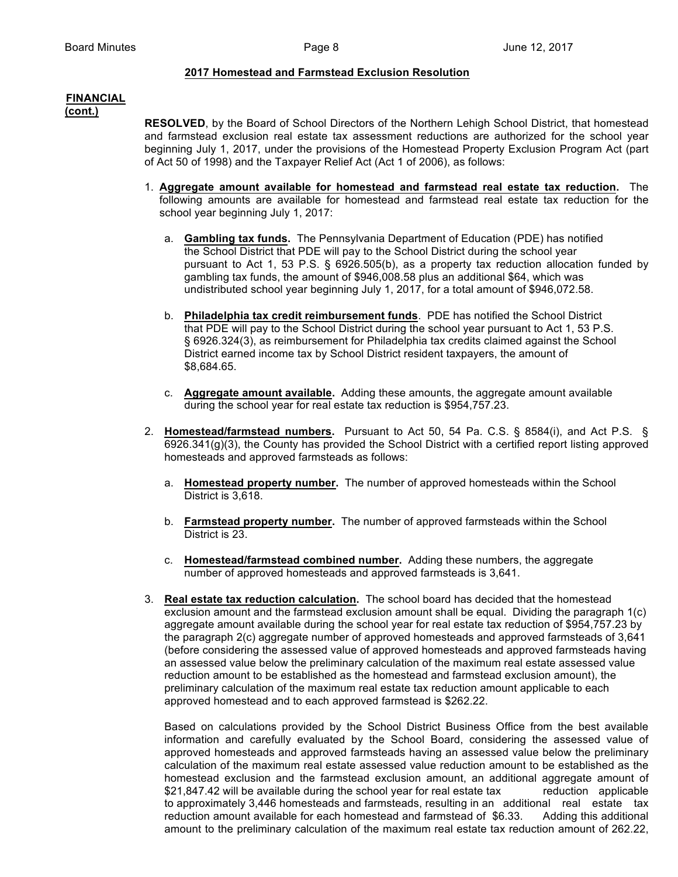### **2017 Homestead and Farmstead Exclusion Resolution**

# **FINANCIAL**

**(cont.)**

**RESOLVED**, by the Board of School Directors of the Northern Lehigh School District, that homestead and farmstead exclusion real estate tax assessment reductions are authorized for the school year beginning July 1, 2017, under the provisions of the Homestead Property Exclusion Program Act (part of Act 50 of 1998) and the Taxpayer Relief Act (Act 1 of 2006), as follows:

- 1. **Aggregate amount available for homestead and farmstead real estate tax reduction.** The following amounts are available for homestead and farmstead real estate tax reduction for the school year beginning July 1, 2017:
	- a. **Gambling tax funds.** The Pennsylvania Department of Education (PDE) has notified the School District that PDE will pay to the School District during the school year pursuant to Act 1, 53 P.S. § 6926.505(b), as a property tax reduction allocation funded by gambling tax funds, the amount of \$946,008.58 plus an additional \$64, which was undistributed school year beginning July 1, 2017, for a total amount of \$946,072.58.
	- b. **Philadelphia tax credit reimbursement funds**. PDE has notified the School District that PDE will pay to the School District during the school year pursuant to Act 1, 53 P.S. § 6926.324(3), as reimbursement for Philadelphia tax credits claimed against the School District earned income tax by School District resident taxpayers, the amount of \$8,684.65.
	- c. **Aggregate amount available.** Adding these amounts, the aggregate amount available during the school year for real estate tax reduction is \$954,757.23.
- 2. **Homestead/farmstead numbers.** Pursuant to Act 50, 54 Pa. C.S. § 8584(i), and Act P.S. § 6926.341(g)(3), the County has provided the School District with a certified report listing approved homesteads and approved farmsteads as follows:
	- a. **Homestead property number.** The number of approved homesteads within the School District is 3,618.
	- b. **Farmstead property number.** The number of approved farmsteads within the School District is 23.
	- c. **Homestead/farmstead combined number.** Adding these numbers, the aggregate number of approved homesteads and approved farmsteads is 3,641.
- 3. **Real estate tax reduction calculation.** The school board has decided that the homestead exclusion amount and the farmstead exclusion amount shall be equal. Dividing the paragraph 1(c) aggregate amount available during the school year for real estate tax reduction of \$954,757.23 by the paragraph 2(c) aggregate number of approved homesteads and approved farmsteads of 3,641 (before considering the assessed value of approved homesteads and approved farmsteads having an assessed value below the preliminary calculation of the maximum real estate assessed value reduction amount to be established as the homestead and farmstead exclusion amount), the preliminary calculation of the maximum real estate tax reduction amount applicable to each approved homestead and to each approved farmstead is \$262.22.

Based on calculations provided by the School District Business Office from the best available information and carefully evaluated by the School Board, considering the assessed value of approved homesteads and approved farmsteads having an assessed value below the preliminary calculation of the maximum real estate assessed value reduction amount to be established as the homestead exclusion and the farmstead exclusion amount, an additional aggregate amount of \$21,847.42 will be available during the school year for real estate tax reduction applicable to approximately 3,446 homesteads and farmsteads, resulting in an additional real estate tax reduction amount available for each homestead and farmstead of \$6.33. Adding this additional amount to the preliminary calculation of the maximum real estate tax reduction amount of 262.22,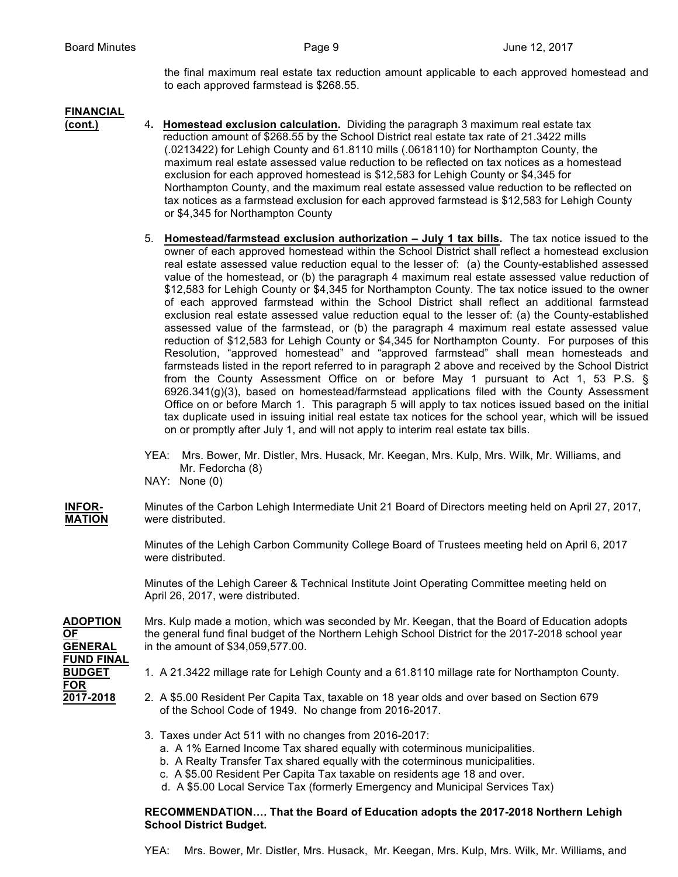the final maximum real estate tax reduction amount applicable to each approved homestead and to each approved farmstead is \$268.55.

### **FINANCIAL**

- **(cont.)** 4**. Homestead exclusion calculation.** Dividing the paragraph 3 maximum real estate tax reduction amount of \$268.55 by the School District real estate tax rate of 21.3422 mills (.0213422) for Lehigh County and 61.8110 mills (.0618110) for Northampton County, the maximum real estate assessed value reduction to be reflected on tax notices as a homestead exclusion for each approved homestead is \$12,583 for Lehigh County or \$4,345 for Northampton County, and the maximum real estate assessed value reduction to be reflected on tax notices as a farmstead exclusion for each approved farmstead is \$12,583 for Lehigh County or \$4,345 for Northampton County
	- 5. **Homestead/farmstead exclusion authorization – July 1 tax bills.** The tax notice issued to the owner of each approved homestead within the School District shall reflect a homestead exclusion real estate assessed value reduction equal to the lesser of: (a) the County-established assessed value of the homestead, or (b) the paragraph 4 maximum real estate assessed value reduction of \$12,583 for Lehigh County or \$4,345 for Northampton County. The tax notice issued to the owner of each approved farmstead within the School District shall reflect an additional farmstead exclusion real estate assessed value reduction equal to the lesser of: (a) the County-established assessed value of the farmstead, or (b) the paragraph 4 maximum real estate assessed value reduction of \$12,583 for Lehigh County or \$4,345 for Northampton County. For purposes of this Resolution, "approved homestead" and "approved farmstead" shall mean homesteads and farmsteads listed in the report referred to in paragraph 2 above and received by the School District from the County Assessment Office on or before May 1 pursuant to Act 1, 53 P.S. § 6926.341(g)(3), based on homestead/farmstead applications filed with the County Assessment Office on or before March 1. This paragraph 5 will apply to tax notices issued based on the initial tax duplicate used in issuing initial real estate tax notices for the school year, which will be issued on or promptly after July 1, and will not apply to interim real estate tax bills.
	- YEA: Mrs. Bower, Mr. Distler, Mrs. Husack, Mr. Keegan, Mrs. Kulp, Mrs. Wilk, Mr. Williams, and Mr. Fedorcha (8)
	- NAY: None (0)

**INFOR-** Minutes of the Carbon Lehigh Intermediate Unit 21 Board of Directors meeting held on April 27, 2017, **MATION** were distributed.

> Minutes of the Lehigh Carbon Community College Board of Trustees meeting held on April 6, 2017 were distributed.

Minutes of the Lehigh Career & Technical Institute Joint Operating Committee meeting held on April 26, 2017, were distributed.

**ADOPTION** Mrs. Kulp made a motion, which was seconded by Mr. Keegan, that the Board of Education adopts **OF** the general fund final budget of the Northern Lehigh School District for the 2017-2018 school year **GENERAL** in the amount of \$34,059,577.00.

**FUND FINAL FOR**

- **BUDGET** 1. A 21.3422 millage rate for Lehigh County and a 61.8110 millage rate for Northampton County.
- **2017-2018** 2. A \$5.00 Resident Per Capita Tax, taxable on 18 year olds and over based on Section 679 of the School Code of 1949. No change from 2016-2017.
	- 3. Taxes under Act 511 with no changes from 2016-2017:
		- a. A 1% Earned Income Tax shared equally with coterminous municipalities.
		- b. A Realty Transfer Tax shared equally with the coterminous municipalities.
		- c. A \$5.00 Resident Per Capita Tax taxable on residents age 18 and over.
		- d. A \$5.00 Local Service Tax (formerly Emergency and Municipal Services Tax)

### **RECOMMENDATION…. That the Board of Education adopts the 2017-2018 Northern Lehigh School District Budget.**

YEA: Mrs. Bower, Mr. Distler, Mrs. Husack, Mr. Keegan, Mrs. Kulp, Mrs. Wilk, Mr. Williams, and